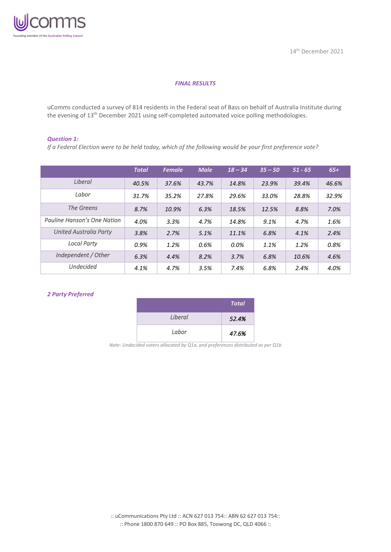

## *FINAL RESULTS*

uComms conducted a survey of 814 residents in the Federal seat of Bass on behalf of Australia Institute during the evening of 13<sup>th</sup> December 2021 using self-completed automated voice polling methodologies.

#### *Question 1:*

*If a Federal Election were to be held today, which of the following would be your first preference vote?*

|                               | <b>Total</b> | <b>Female</b> | <b>Male</b> | $18 - 34$ | $35 - 50$ | $51 - 65$ | $65+$ |
|-------------------------------|--------------|---------------|-------------|-----------|-----------|-----------|-------|
| Liberal                       | 40.5%        | 37.6%         | 43.7%       | 14.8%     | 23.9%     | 39.4%     | 46.6% |
| Labor                         | 31.7%        | 35.2%         | 27.8%       | 29.6%     | 33.0%     | 28.8%     | 32.9% |
| The Greens                    | 8.7%         | 10.9%         | 6.3%        | 18.5%     | 12.5%     | 8.8%      | 7.0%  |
| Pauline Hanson's One Nation   | 4.0%         | 3.3%          | 4.7%        | 14.8%     | 9.1%      | 4.7%      | 1.6%  |
| <b>United Australia Party</b> | 3.8%         | 2.7%          | 5.1%        | 11.1%     | 6.8%      | 4.1%      | 2.4%  |
| <b>Local Party</b>            | 0.9%         | 1.2%          | 0.6%        | 0.0%      | 1.1%      | 1.2%      | 0.8%  |
| Independent / Other           | 6.3%         | 4.4%          | 8.2%        | 3.7%      | 6.8%      | 10.6%     | 4.6%  |
| <b>Undecided</b>              | 4.1%         | 4.7%          | 3.5%        | 7.4%      | 6.8%      | 2.4%      | 4.0%  |

#### *2 Party Preferred*

|         | <b>Total</b> |
|---------|--------------|
| Liberal | 52.4%        |
| Labor   | 47.6%        |

*Note: Undecided voters allocated by Q1a, and preferences distributed as per Q1b*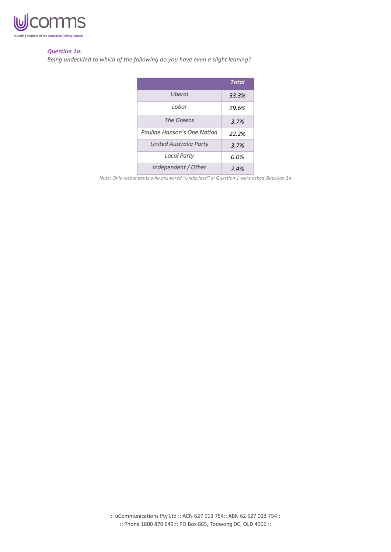

#### *Question 1a:*

*Being undecided to which of the following do you have even a slight leaning?*

|                               | <b>Total</b> |
|-------------------------------|--------------|
| <i>I</i> iheral               | 33.3%        |
| Labor                         | 29.6%        |
| The Greens                    | 3.7%         |
| Pauline Hanson's One Nation   | 22.2%        |
| <b>United Australia Party</b> | 3.7%         |
| <b>Local Party</b>            | 0.0%         |
| Independent / Other           | 7.4%         |

*Note: Only respondents who answered "Undecided" in Question 1 were asked Question 1a*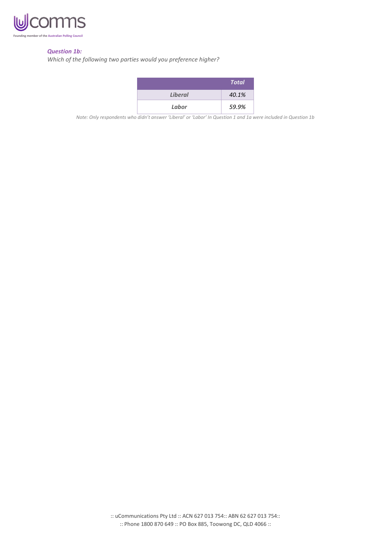

## *Question 1b:*

*Which of the following two parties would you preference higher?*

|                | <b>Total</b> |
|----------------|--------------|
| <b>Liberal</b> | 40.1%        |
| Labor          | 59.9%        |

*Note: Only respondents who didn't answer 'Liberal' or 'Labor' In Question 1 and 1a were included in Question 1b*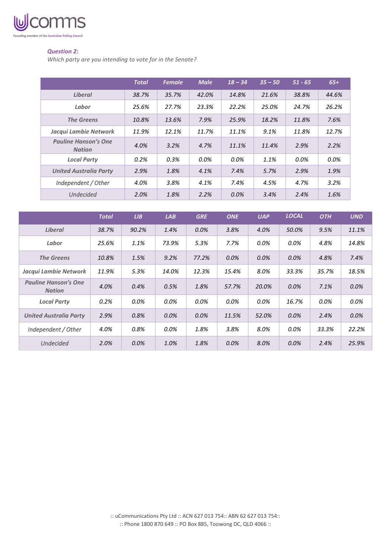

## *Question 2:*

*Which party are you intending to vote for in the Senate?*

|                                              | <b>Total</b> | <b>Female</b> | <b>Male</b> | $18 - 34$ | $35 - 50$ | $51 - 65$ | $65+$ |
|----------------------------------------------|--------------|---------------|-------------|-----------|-----------|-----------|-------|
| <b>Liberal</b>                               | 38.7%        | 35.7%         | 42.0%       | 14.8%     | 21.6%     | 38.8%     | 44.6% |
| Labor                                        | 25.6%        | 27.7%         | 23.3%       | 22.2%     | 25.0%     | 24.7%     | 26.2% |
| <b>The Greens</b>                            | 10.8%        | 13.6%         | 7.9%        | 25.9%     | 18.2%     | 11.8%     | 7.6%  |
| Jacqui Lambie Network                        | 11.9%        | 12.1%         | 11.7%       | 11.1%     | 9.1%      | 11.8%     | 12.7% |
| <b>Pauline Hanson's One</b><br><b>Nation</b> | 4.0%         | 3.2%          | 4.7%        | 11.1%     | 11.4%     | 2.9%      | 2.2%  |
| <b>Local Party</b>                           | 0.2%         | 0.3%          | 0.0%        | 0.0%      | 1.1%      | 0.0%      | 0.0%  |
| <b>United Australia Party</b>                | 2.9%         | 1.8%          | 4.1%        | 7.4%      | 5.7%      | 2.9%      | 1.9%  |
| Independent / Other                          | 4.0%         | 3.8%          | 4.1%        | 7.4%      | 4.5%      | 4.7%      | 3.2%  |
| <b>Undecided</b>                             | 2.0%         | 1.8%          | 2.2%        | 0.0%      | 3.4%      | 2.4%      | 1.6%  |

|                                              | <b>Total</b> | LIB   | LAB     | <b>GRE</b> | <b>ONE</b> | <b>UAP</b> | <b>LOCAL</b> | <b>OTH</b> | <b>UND</b> |
|----------------------------------------------|--------------|-------|---------|------------|------------|------------|--------------|------------|------------|
| <b>Liberal</b>                               | 38.7%        | 90.2% | 1.4%    | 0.0%       | 3.8%       | 4.0%       | 50.0%        | 9.5%       | 11.1%      |
| Labor                                        | 25.6%        | 1.1%  | 73.9%   | 5.3%       | 7.7%       | $0.0\%$    | 0.0%         | 4.8%       | 14.8%      |
| <b>The Greens</b>                            | 10.8%        | 1.5%  | 9.2%    | 77.2%      | 0.0%       | 0.0%       | 0.0%         | 4.8%       | 7.4%       |
| Jacqui Lambie Network                        | 11.9%        | 5.3%  | 14.0%   | 12.3%      | 15.4%      | 8.0%       | 33.3%        | 35.7%      | 18.5%      |
| <b>Pauline Hanson's One</b><br><b>Nation</b> | 4.0%         | 0.4%  | 0.5%    | 1.8%       | 57.7%      | 20.0%      | 0.0%         | 7.1%       | 0.0%       |
| <b>Local Party</b>                           | 0.2%         | 0.0%  | $0.0\%$ | $0.0\%$    | 0.0%       | $0.0\%$    | 16.7%        | 0.0%       | 0.0%       |
| <b>United Australia Party</b>                | 2.9%         | 0.8%  | 0.0%    | 0.0%       | 11.5%      | 52.0%      | 0.0%         | 2.4%       | 0.0%       |
| Independent / Other                          | 4.0%         | 0.8%  | $0.0\%$ | 1.8%       | 3.8%       | 8.0%       | 0.0%         | 33.3%      | 22.2%      |
| <b>Undecided</b>                             | 2.0%         | 0.0%  | 1.0%    | 1.8%       | $0.0\%$    | 8.0%       | 0.0%         | 2.4%       | 25.9%      |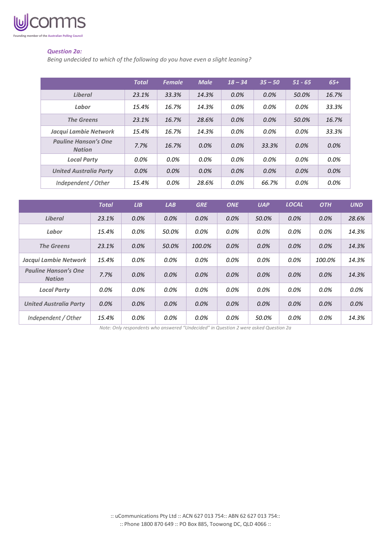

## *Question 2a:*

*Being undecided to which of the following do you have even a slight leaning?*

|                                              | <b>Total</b> | <b>Female</b> | <b>Male</b> | $18 - 34$ | $35 - 50$ | $51 - 65$ | $65+$   |
|----------------------------------------------|--------------|---------------|-------------|-----------|-----------|-----------|---------|
| <b>Liberal</b>                               | 23.1%        | 33.3%         | 14.3%       | $0.0\%$   | 0.0%      | 50.0%     | 16.7%   |
| Labor                                        | 15.4%        | 16.7%         | 14.3%       | 0.0%      | 0.0%      | $0.0\%$   | 33.3%   |
| <b>The Greens</b>                            | 23.1%        | 16.7%         | 28.6%       | 0.0%      | 0.0%      | 50.0%     | 16.7%   |
| Jacqui Lambie Network                        | 15.4%        | 16.7%         | 14.3%       | $0.0\%$   | 0.0%      | $0.0\%$   | 33.3%   |
| <b>Pauline Hanson's One</b><br><b>Nation</b> | 7.7%         | 16.7%         | 0.0%        | $0.0\%$   | 33.3%     | 0.0%      | $0.0\%$ |
| <b>Local Party</b>                           | 0.0%         | $0.0\%$       | $0.0\%$     | $0.0\%$   | 0.0%      | $0.0\%$   | $0.0\%$ |
| <b>United Australia Party</b>                | 0.0%         | 0.0%          | 0.0%        | 0.0%      | 0.0%      | $0.0\%$   | 0.0%    |
| Independent / Other                          | 15.4%        | 0.0%          | 28.6%       | 0.0%      | 66.7%     | $0.0\%$   | $0.0\%$ |

|                                              | <b>Total</b> | LIB     | LAB   | <b>GRE</b> | <b>ONE</b> | <b>UAP</b> | <b>LOCAL</b> | <b>OTH</b> | <b>UND</b> |
|----------------------------------------------|--------------|---------|-------|------------|------------|------------|--------------|------------|------------|
| Liberal                                      | 23.1%        | 0.0%    | 0.0%  | 0.0%       | 0.0%       | 50.0%      | 0.0%         | 0.0%       | 28.6%      |
| Labor                                        | 15.4%        | 0.0%    | 50.0% | 0.0%       | 0.0%       | 0.0%       | 0.0%         | 0.0%       | 14.3%      |
| <b>The Greens</b>                            | 23.1%        | 0.0%    | 50.0% | 100.0%     | 0.0%       | 0.0%       | 0.0%         | 0.0%       | 14.3%      |
| Jacqui Lambie Network                        | 15.4%        | 0.0%    | 0.0%  | 0.0%       | 0.0%       | 0.0%       | 0.0%         | 100.0%     | 14.3%      |
| <b>Pauline Hanson's One</b><br><b>Nation</b> | 7.7%         | $0.0\%$ | 0.0%  | $0.0\%$    | 0.0%       | 0.0%       | 0.0%         | 0.0%       | 14.3%      |
| <b>Local Party</b>                           | 0.0%         | 0.0%    | 0.0%  | 0.0%       | 0.0%       | 0.0%       | 0.0%         | 0.0%       | $0.0\%$    |
| <b>United Australia Party</b>                | 0.0%         | 0.0%    | 0.0%  | $0.0\%$    | 0.0%       | 0.0%       | 0.0%         | 0.0%       | 0.0%       |
| Independent / Other                          | 15.4%        | 0.0%    | 0.0%  | 0.0%       | 0.0%       | 50.0%      | 0.0%         | 0.0%       | 14.3%      |

*Note: Only respondents who answered "Undecided" in Question 2 were asked Question 2a*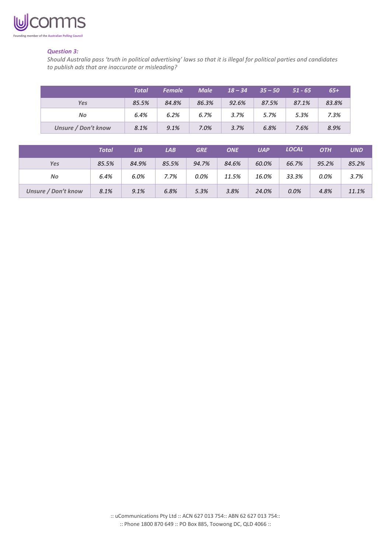

### *Question 3:*

*Should Australia pass 'truth in political advertising' laws so that it is illegal for political parties and candidates to publish ads that are inaccurate or misleading?*

|                            | <b>Total</b> | <b>Female</b> | <b>Male</b> | $18 - 34$ | $35 - 50$ | $51 - 65$ | $65+$ |
|----------------------------|--------------|---------------|-------------|-----------|-----------|-----------|-------|
| Yes                        | 85.5%        | 84.8%         | 86.3%       | 92.6%     | 87.5%     | 87.1%     | 83.8% |
| No                         | 6.4%         | 6.2%          | 6.7%        | 3.7%      | 5.7%      | 5.3%      | 7.3%  |
| <b>Unsure / Don't know</b> | 8.1%         | 9.1%          | 7.0%        | 3.7%      | 6.8%      | 7.6%      | 8.9%  |

|                     | Total | LIB   | LAB   | <b>GRE</b> | <b>ONE</b> | <b>UAP</b> | <b>LOCAL</b> | <b>OTH</b> | <b>UND</b> |
|---------------------|-------|-------|-------|------------|------------|------------|--------------|------------|------------|
| Yes                 | 85.5% | 84.9% | 85.5% | 94.7%      | 84.6%      | 60.0%      | 66.7%        | 95.2%      | 85.2%      |
| No                  | 6.4%  | 6.0%  | 7.7%  | 0.0%       | 11.5%      | 16.0%      | 33.3%        | 0.0%       | 3.7%       |
| Unsure / Don't know | 8.1%  | 9.1%  | 6.8%  | 5.3%       | 3.8%       | 24.0%      | 0.0%         | 4.8%       | 11.1%      |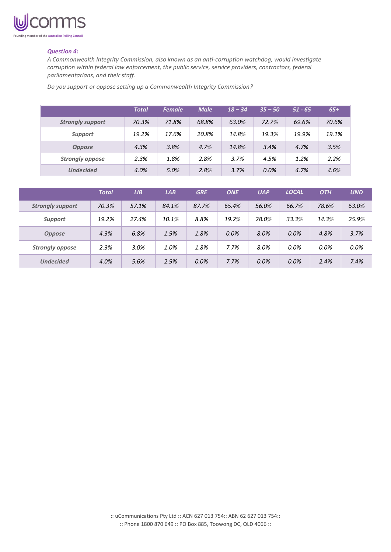

#### *Question 4:*

*A Commonwealth Integrity Commission, also known as an anti-corruption watchdog, would investigate corruption within federal law enforcement, the public service, service providers, contractors, federal parliamentarians, and their staff.*

*Do you support or oppose setting up a Commonwealth Integrity Commission?*

|                         | <b>Total</b> | <b>Female</b> | <b>Male</b> | $18 - 34$ | $35 - 50$ | $51 - 65$ | $65+$ |
|-------------------------|--------------|---------------|-------------|-----------|-----------|-----------|-------|
| <b>Strongly support</b> | 70.3%        | 71.8%         | 68.8%       | 63.0%     | 72.7%     | 69.6%     | 70.6% |
| <b>Support</b>          | 19.2%        | 17.6%         | 20.8%       | 14.8%     | 19.3%     | 19.9%     | 19.1% |
| <b>Oppose</b>           | 4.3%         | 3.8%          | 4.7%        | 14.8%     | 3.4%      | 4.7%      | 3.5%  |
| <b>Strongly oppose</b>  | 2.3%         | 1.8%          | 2.8%        | 3.7%      | 4.5%      | 1.2%      | 2.2%  |
| <b>Undecided</b>        | 4.0%         | 5.0%          | 2.8%        | 3.7%      | 0.0%      | 4.7%      | 4.6%  |

|                         | <b>Total</b> | LIB   | LAB   | <b>GRE</b> | <b>ONE</b> | <b>UAP</b> | <b>LOCAL</b> | <b>OTH</b> | <b>UND</b> |
|-------------------------|--------------|-------|-------|------------|------------|------------|--------------|------------|------------|
| <b>Strongly support</b> | 70.3%        | 57.1% | 84.1% | 87.7%      | 65.4%      | 56.0%      | 66.7%        | 78.6%      | 63.0%      |
| <b>Support</b>          | 19.2%        | 27.4% | 10.1% | 8.8%       | 19.2%      | 28.0%      | 33.3%        | 14.3%      | 25.9%      |
| <b>Oppose</b>           | 4.3%         | 6.8%  | 1.9%  | 1.8%       | 0.0%       | 8.0%       | 0.0%         | 4.8%       | 3.7%       |
| <b>Strongly oppose</b>  | 2.3%         | 3.0%  | 1.0%  | 1.8%       | 7.7%       | 8.0%       | 0.0%         | 0.0%       | 0.0%       |
| <b>Undecided</b>        | 4.0%         | 5.6%  | 2.9%  | 0.0%       | 7.7%       | 0.0%       | 0.0%         | 2.4%       | 7.4%       |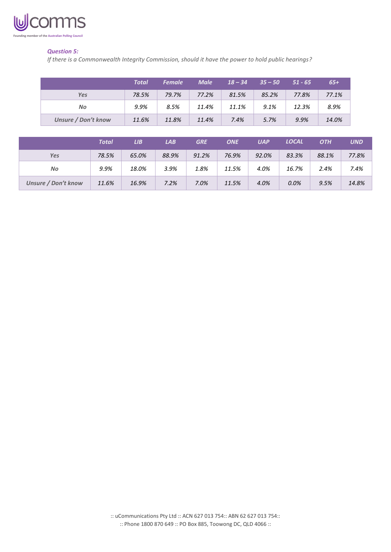

# *Question 5:*

*If there is a Commonwealth Integrity Commission, should it have the power to hold public hearings?*

|                            | <b>Total</b> | <b>Female</b> | <b>Male</b> | $18 - 34$ | $35 - 50$ | $51 - 65$ | $65+$ |
|----------------------------|--------------|---------------|-------------|-----------|-----------|-----------|-------|
| Yes                        | 78.5%        | 79.7%         | 77.2%       | 81.5%     | 85.2%     | 77.8%     | 77.1% |
| No                         | 9.9%         | 8.5%          | 11.4%       | 11.1%     | 9.1%      | 12.3%     | 8.9%  |
| <b>Unsure / Don't know</b> | 11.6%        | 11.8%         | 11.4%       | 7.4%      | 5.7%      | 9.9%      | 14.0% |

|                            | Total | LIB.  | LAB   | <b>GRE</b> | <b>ONE</b> | <b>UAP</b> | <b>LOCAL</b> | <b>OTH</b> | <b>UND</b> |
|----------------------------|-------|-------|-------|------------|------------|------------|--------------|------------|------------|
| <b>Yes</b>                 | 78.5% | 65.0% | 88.9% | 91.2%      | 76.9%      | 92.0%      | 83.3%        | 88.1%      | 77.8%      |
| No                         | 9.9%  | 18.0% | 3.9%  | 1.8%       | 11.5%      | 4.0%       | 16.7%        | 2.4%       | 7.4%       |
| <b>Unsure / Don't know</b> | 11.6% | 16.9% | 7.2%  | 7.0%       | 11.5%      | 4.0%       | 0.0%         | 9.5%       | 14.8%      |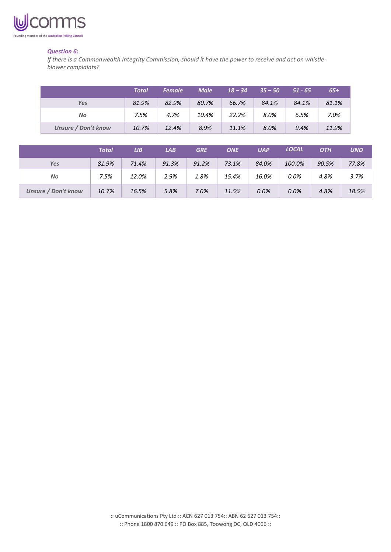

### *Question 6:*

*If there is a Commonwealth Integrity Commission, should it have the power to receive and act on whistleblower complaints?*

|                            | <b>Total</b> | <b>Female</b> | <b>Male</b> | $18 - 34$ | $35 - 50$ | $51 - 65$ | $65+$ |
|----------------------------|--------------|---------------|-------------|-----------|-----------|-----------|-------|
| <b>Yes</b>                 | 81.9%        | 82.9%         | 80.7%       | 66.7%     | 84.1%     | 84.1%     | 81.1% |
| No                         | 7.5%         | 4.7%          | 10.4%       | 22.2%     | 8.0%      | 6.5%      | 7.0%  |
| <b>Unsure / Don't know</b> | 10.7%        | 12.4%         | 8.9%        | 11.1%     | 8.0%      | 9.4%      | 11.9% |

|                            | Total | LIB   | LAB   | <b>GRE</b> | <b>ONE</b> | <b>UAP</b> | <b>LOCAL</b> | <b>OTH</b> | <b>UND</b> |
|----------------------------|-------|-------|-------|------------|------------|------------|--------------|------------|------------|
| <b>Yes</b>                 | 81.9% | 71.4% | 91.3% | 91.2%      | 73.1%      | 84.0%      | 100.0%       | 90.5%      | 77.8%      |
| No                         | 7.5%  | 12.0% | 2.9%  | 1.8%       | 15.4%      | 16.0%      | 0.0%         | 4.8%       | 3.7%       |
| <b>Unsure / Don't know</b> | 10.7% | 16.5% | 5.8%  | 7.0%       | 11.5%      | 0.0%       | 0.0%         | 4.8%       | 18.5%      |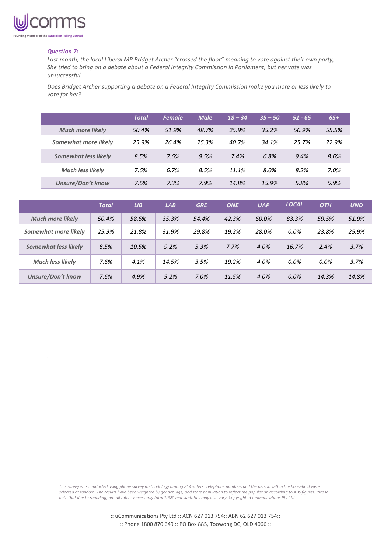

#### *Question 7:*

*Last month, the local Liberal MP Bridget Archer "crossed the floor" meaning to vote against their own party, She tried to bring on a debate about a Federal Integrity Commission in Parliament, but her vote was unsuccessful.* 

*Does Bridget Archer supporting a debate on a Federal Integrity Commission make you more or less likely to vote for her?*

|                             | <b>Total</b> | <b>Female</b> | <b>Male</b> | $18 - 34$ | $.35 - 50'$ | $51 - 65$ | $65+$ |
|-----------------------------|--------------|---------------|-------------|-----------|-------------|-----------|-------|
| <b>Much more likely</b>     | 50.4%        | 51.9%         | 48.7%       | 25.9%     | 35.2%       | 50.9%     | 55.5% |
| Somewhat more likely        | 25.9%        | 26.4%         | 25.3%       | 40.7%     | 34.1%       | 25.7%     | 22.9% |
| <b>Somewhat less likely</b> | 8.5%         | 7.6%          | 9.5%        | 7.4%      | 6.8%        | 9.4%      | 8.6%  |
| <b>Much less likely</b>     | 7.6%         | 6.7%          | 8.5%        | 11.1%     | 8.0%        | 8.2%      | 7.0%  |
| <b>Unsure/Don't know</b>    | 7.6%         | 7.3%          | 7.9%        | 14.8%     | 15.9%       | 5.8%      | 5.9%  |

|                          | <b>Total</b> | LIB   | LAB   | <b>GRE</b> | <b>ONE</b> | <b>UAP</b> | <b>LOCAL</b> | <b>OTH</b> | <b>UND</b> |
|--------------------------|--------------|-------|-------|------------|------------|------------|--------------|------------|------------|
| <b>Much more likely</b>  | 50.4%        | 58.6% | 35.3% | 54.4%      | 42.3%      | 60.0%      | 83.3%        | 59.5%      | 51.9%      |
| Somewhat more likely     | 25.9%        | 21.8% | 31.9% | 29.8%      | 19.2%      | 28.0%      | $0.0\%$      | 23.8%      | 25.9%      |
| Somewhat less likely     | 8.5%         | 10.5% | 9.2%  | 5.3%       | 7.7%       | 4.0%       | 16.7%        | 2.4%       | 3.7%       |
| <b>Much less likely</b>  | 7.6%         | 4.1%  | 14.5% | 3.5%       | 19.2%      | 4.0%       | 0.0%         | $0.0\%$    | 3.7%       |
| <b>Unsure/Don't know</b> | 7.6%         | 4.9%  | 9.2%  | 7.0%       | 11.5%      | 4.0%       | 0.0%         | 14.3%      | 14.8%      |

*This survey was conducted using phone survey methodology among 814 voters. Telephone numbers and the person within the household were selected at random. The results have been weighted by gender, age, and state population to reflect the population according to ABS figures. Please note that due to rounding, not all tables necessarily total 100% and subtotals may also vary. Copyright uCommunications Pty Ltd.*